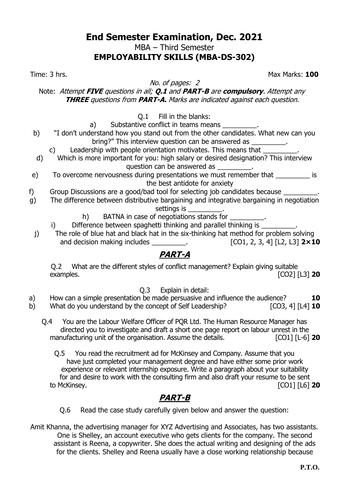MBA – Third Semester

### **EMPLOYABILITY SKILLS (MBA-DS-302)**

No. of pages: 2

Time: 3 hrs. Max Marks: **100**

Note: Attempt **FIVE** questions in all; **Q.1** and **PART-B** are **compulsory**. Attempt any **THREE** questions from **PART-A.** Marks are indicated against each question.

Q.1 Fill in the blanks:

- a) Substantive conflict in teams means
- b) "I don't understand how you stand out from the other candidates. What new can you bring?" This interview question can be answered as \_\_\_\_\_\_\_\_\_.

c) Leadership with people orientation motivates. This means that

- d) Which is more important for you: high salary or desired designation? This interview question can be answered as
- e) To overcome nervousness during presentations we must remember that \_\_\_\_\_\_\_\_\_\_ is the best antidote for anxiety
- f) Group Discussions are a good/bad tool for selecting job candidates because \_\_\_\_\_\_\_\_\_.
- g) The difference between distributive bargaining and integrative bargaining in negotiation settings is

- h) BATNA in case of negotiations stands for
- i) Difference between spaghetti thinking and parallel thinking is
- j) The role of blue hat and black hat in the six-thinking hat method for problem solving and decision making includes \_\_\_\_\_\_\_\_\_. [CO1, 2, 3, 4] [L2, L3] **2×10**

# **PART-A**

Q.2 What are the different styles of conflict management? Explain giving suitable examples. [CO2] [L3] **20**

Q.3 Explain in detail:

a) How can a simple presentation be made persuasive and influence the audience? **10** b) What do you understand by the concept of Self Leadership? [CO3, 4] [L4] **10**

- Q.4 You are the Labour Welfare Officer of PQR Ltd. The Human Resource Manager has directed you to investigate and draft a short one page report on labour unrest in the manufacturing unit of the organisation. Assume the details. **[CO1]** [L-6] **20** 
	- Q.5 You read the recruitment ad for McKinsey and Company. Assume that you have just completed your management degree and have either some prior work experience or relevant internship exposure. Write a paragraph about your suitability for and desire to work with the consulting firm and also draft your resume to be sent to McKinsey. [CO1] [L6] **20**

# **PART-B**

- Q.6 Read the case study carefully given below and answer the question:
- Amit Khanna, the advertising manager for XYZ Advertising and Associates, has two assistants. One is Shelley, an account executive who gets clients for the company. The second assistant is Reena, a copywriter. She does the actual writing and designing of the ads for the clients. Shelley and Reena usually have a close working relationship because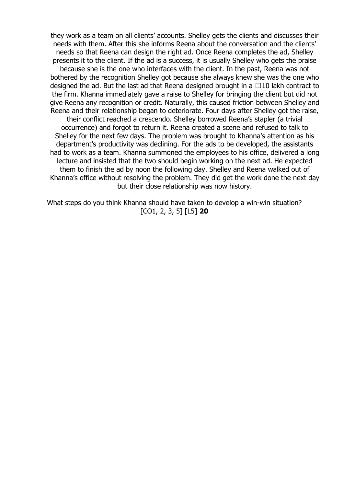they work as a team on all clients' accounts. Shelley gets the clients and discusses their needs with them. After this she informs Reena about the conversation and the clients' needs so that Reena can design the right ad. Once Reena completes the ad, Shelley presents it to the client. If the ad is a success, it is usually Shelley who gets the praise because she is the one who interfaces with the client. In the past, Reena was not bothered by the recognition Shelley got because she always knew she was the one who designed the ad. But the last ad that Reena designed brought in a  $\Box$ 10 lakh contract to the firm. Khanna immediately gave a raise to Shelley for bringing the client but did not give Reena any recognition or credit. Naturally, this caused friction between Shelley and Reena and their relationship began to deteriorate. Four days after Shelley got the raise, their conflict reached a crescendo. Shelley borrowed Reena's stapler (a trivial occurrence) and forgot to return it. Reena created a scene and refused to talk to Shelley for the next few days. The problem was brought to Khanna's attention as his department's productivity was declining. For the ads to be developed, the assistants had to work as a team. Khanna summoned the employees to his office, delivered a long lecture and insisted that the two should begin working on the next ad. He expected them to finish the ad by noon the following day. Shelley and Reena walked out of Khanna's office without resolving the problem. They did get the work done the next day but their close relationship was now history.

What steps do you think Khanna should have taken to develop a win-win situation? [CO1, 2, 3, 5] [L5] **20**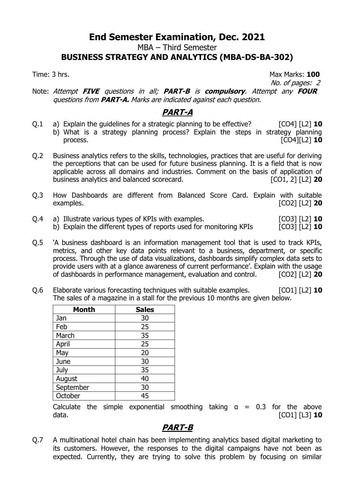MBA – Third Semester

#### **BUSINESS STRATEGY AND ANALYTICS (MBA-DS-BA-302)**

Time: 3 hrs. Max Marks: **100** No. of pages: 2

Note: Attempt **FIVE** questions in all; **PART-B** is **compulsory**. Attempt any **FOUR** questions from **PART-A.** Marks are indicated against each question.

### **PART-A**

- Q.1 a) Explain the guidelines for a strategic planning to be effective? [CO4] [L2] **10** b) What is a strategy planning process? Explain the steps in strategy planning process. [CO4][L2] **10**
- Q.2 Business analytics refers to the skills, technologies, practices that are useful for deriving the perceptions that can be used for future business planning. It is a field that is now applicable across all domains and industries. Comment on the basis of application of business analytics and balanced scorecard.  $[CO1, 2] [L2] 20$ business analytics and balanced scorecard.
- Q.3 How Dashboards are different from Balanced Score Card. Explain with suitable examples. [CO2] [L2] **20**
- Q.4 a) Illustrate various types of KPIs with examples. [CO3] [L2] **10** b) Explain the different types of reports used for monitoring KPIs [CO3] [L2] **10**
- Q.5 'A business dashboard is an information management tool that is used to track KPIs, metrics, and other key data points relevant to a business, department, or specific process. Through the use of data visualizations, dashboards simplify complex data sets to provide users with at a glance awareness of current performance'. Explain with the usage of dashboards in performance management, evaluation and control. [CO2] [L2] **20**
- Q.6 Elaborate various forecasting techniques with suitable examples. [CO1] [L2] **10** The sales of a magazine in a stall for the previous 10 months are given below.

| <b>Month</b> | <b>Sales</b> |  |
|--------------|--------------|--|
| Jan          | 30           |  |
| Feb          | 25           |  |
| March        | 35           |  |
| April        | 25           |  |
| May          | 20           |  |
| June         | 30           |  |
| July         | 35           |  |
| August       | 40           |  |
| September    | 30           |  |
| October      | 45           |  |

Calculate the simple exponential smoothing taking  $a = 0.3$  for the above data. [CO1] [L3] **10**

### **PART-B**

Q.7 A multinational hotel chain has been implementing analytics based digital marketing to its customers. However, the responses to the digital campaigns have not been as expected. Currently, they are trying to solve this problem by focusing on similar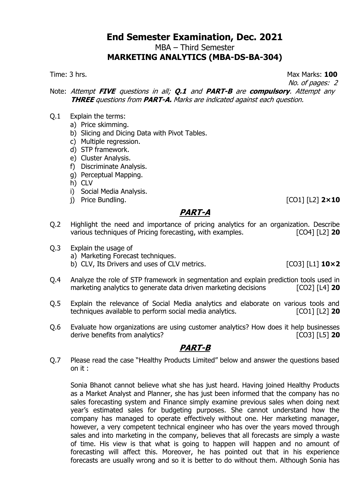MBA – Third Semester

#### **MARKETING ANALYTICS (MBA-DS-BA-304)**

Time: 3 hrs. Max Marks: **100**

No. of pages: 2

Note: Attempt **FIVE** questions in all; **Q.1** and **PART-B** are **compulsory**. Attempt any **THREE** questions from **PART-A.** Marks are indicated against each question.

- Q.1 Explain the terms:
	- a) Price skimming.
	- b) Slicing and Dicing Data with Pivot Tables.
	- c) Multiple regression.
	- d) STP framework.
	- e) Cluster Analysis.
	- f) Discriminate Analysis.
	- g) Perceptual Mapping.
	- h) CLV
	- i) Social Media Analysis.
	- j) Price Bundling. [CO1] [L2] **2×10**

### **PART-A**

- Q.2 Highlight the need and importance of pricing analytics for an organization. Describe various techniques of Pricing forecasting, with examples. [CO4] [L2] **20**
- Q.3 Explain the usage of
	- a) Marketing Forecast techniques.
	- b) CLV, Its Drivers and uses of CLV metrics. [CO3] [L1] **10×2**
- Q.4 Analyze the role of STP framework in segmentation and explain prediction tools used in marketing analytics to generate data driven marketing decisions [CO2] [L4] **20**
- Q.5 Explain the relevance of Social Media analytics and elaborate on various tools and techniques available to perform social media analytics. [CO1] [L2] **20**
- Q.6 Evaluate how organizations are using customer analytics? How does it help businesses derive benefits from analytics? **Example 20** [CO3] [L5] **20**

### **PART-B**

Q.7 Please read the case "Healthy Products Limited" below and answer the questions based on it :

Sonia Bhanot cannot believe what she has just heard. Having joined Healthy Products as a Market Analyst and Planner, she has just been informed that the company has no sales forecasting system and Finance simply examine previous sales when doing next year's estimated sales for budgeting purposes. She cannot understand how the company has managed to operate effectively without one. Her marketing manager, however, a very competent technical engineer who has over the years moved through sales and into marketing in the company, believes that all forecasts are simply a waste of time. His view is that what is going to happen will happen and no amount of forecasting will affect this. Moreover, he has pointed out that in his experience forecasts are usually wrong and so it is better to do without them. Although Sonia has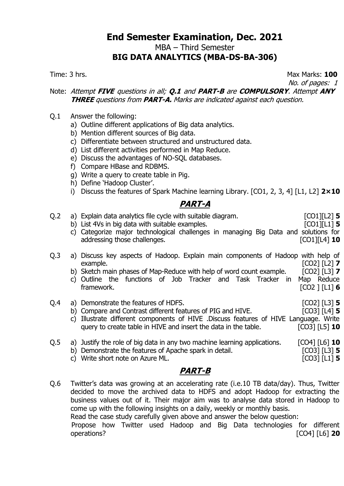MBA – Third Semester

#### **BIG DATA ANALYTICS (MBA-DS-BA-306)**

Time: 3 hrs. Max Marks: **100**

No. of pages: 1

#### Note: Attempt **FIVE** questions in all; **Q.1** and **PART-B** are **COMPULSORY**. Attempt **ANY THREE** questions from **PART-A.** Marks are indicated against each question.

- Q.1 Answer the following:
	- a) Outline different applications of Big data analytics.
	- b) Mention different sources of Big data.
	- c) Differentiate between structured and unstructured data.
	- d) List different activities performed in Map Reduce.
	- e) Discuss the advantages of NO-SQL databases.
	- f) Compare HBase and RDBMS.
	- g) Write a query to create table in Pig.
	- h) Define 'Hadoop Cluster'.
	- i) Discuss the features of Spark Machine learning Library. [CO1, 2, 3, 4] [L1, L2] **2×10**

# **PART-A**

| Q.2            | a) Explain data analytics file cycle with suitable diagram.<br>b) List 4Vs in big data with suitable examples.<br>c) Categorize major technological challenges in managing Big Data and solutions for<br>addressing those challenges.             | $[CO1][L2]$ 5<br>$[CO1][L1]$ 5<br>$[CO1][L4]$ 10               |
|----------------|---------------------------------------------------------------------------------------------------------------------------------------------------------------------------------------------------------------------------------------------------|----------------------------------------------------------------|
| Q <sub>2</sub> | a) Discuss key aspects of Hadoop. Explain main components of Hadoop with help of<br>example.<br>b) Sketch main phases of Map-Reduce with help of word count example.<br>c) Outline the functions of Job Tracker and Task Tracker in<br>framework. | $[CO2] [L2]$ 7<br>$[CO2] [L3]$ 7<br>Map Reduce<br>[CO2] [L1] 6 |
| Q.4            | a) Demonstrate the features of HDFS.                                                                                                                                                                                                              | $[CO2]$ [L3] <b>5</b><br>FAAAR EL 17                           |

- b) Compare and Contrast different features of PIG and HIVE. [CO3] [L4] **5** c) Illustrate different components of HIVE .Discuss features of HIVE Language. Write query to create table in HIVE and insert the data in the table. [CO3] [L5] **10**
- Q.5 a) Justify the role of big data in any two machine learning applications. [CO4] [L6] **10** b) Demonstrate the features of Apache spark in detail. [CO3] [L3] **5** c) Write short note on Azure ML. [CO3] [L1] **5**
	-

# **PART-B**

Q.6 Twitter's data was growing at an accelerating rate (i.e.10 TB data/day). Thus, Twitter decided to move the archived data to HDFS and adopt Hadoop for extracting the business values out of it. Their major aim was to analyse data stored in Hadoop to come up with the following insights on a daily, weekly or monthly basis. Read the case study carefully given above and answer the below question: Propose how Twitter used Hadoop and Big Data technologies for different operations? [CO4] [L6] **20**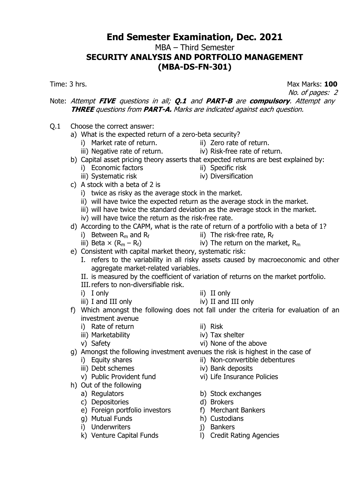MBA – Third Semester

### **SECURITY ANALYSIS AND PORTFOLIO MANAGEMENT (MBA-DS-FN-301)**

Time: 3 hrs. **Max Marks: 100** 

No. of pages: 2

#### Note: Attempt **FIVE** questions in all; **Q.1** and **PART-B** are **compulsory**. Attempt any **THREE** questions from **PART-A.** Marks are indicated against each question.

- Q.1 Choose the correct answer:
	- a) What is the expected return of a zero-beta security?
		- i) Market rate of return. **ii**) Zero rate of return.
			-
		- iii) Negative rate of return. **iv** iv) Risk-free rate of return.
	- b) Capital asset pricing theory asserts that expected returns are best explained by: i) Economic factors<br>
	iii) Systematic risk<br>
	iii) Systematic risk<br>
	iii) Diversification
		- iii) Systematic risk
- 
- c) A stock with a beta of 2 is
	- i) twice as risky as the average stock in the market.
	- ii) will have twice the expected return as the average stock in the market.
	- $\overrightarrow{iii}$ ) will have twice the standard deviation as the average stock in the market.
	- iv) will have twice the return as the risk-free rate.
- d) According to the CAPM, what is the rate of return of a portfolio with a beta of 1?
	- i) Between R<sub>m</sub> and R<sub>f</sub><br>iii) Beta  $\times$  (R<sub>m</sub> R<sub>f</sub>)
		- ii) The risk-free rate,  $R_f$
		-
- iv) The return on the market,  $R_m$
- e) Consistent with capital market theory, systematic risk:
	- I. refers to the variability in all risky assets caused by macroeconomic and other aggregate market-related variables.
	- II. is measured by the coefficient of variation of returns on the market portfolio.
	- III.refers to non-diversifiable risk.
	-
	-
	- i) I only ii) II only
	- iii) I and III only iv) II and III only
- f) Which amongst the following does not fall under the criteria for evaluation of an investment avenue
	- i) Rate of return ii) Risk
	- iii) Marketability iv) Tax shelter
	-
- 
- 
- v) Safety vi) None of the above

g) Amongst the following investment avenues the risk is highest in the case of

- i) Equity shares ii) Non-convertible debentures
- iii) Debt schemes iv) Bank deposits
- v) Public Provident fund vi) Life Insurance Policies
- h) Out of the following
	-
	-
	- c) Depositories<br>
	e) Foreign portfolio investors<br>
	e) Foreign portfolio investors<br>
	f) Merchant Bankers  $\overrightarrow{e}$ ) Foreign portfolio investors
	- g) Mutual Funds h) Custodians
	- i) Underwriters i) Bankers
	-
- 
- a) Regulators b) Stock exchanges
	-
	-
	-
	-
- k) Venture Capital Funds l) Credit Rating Agencies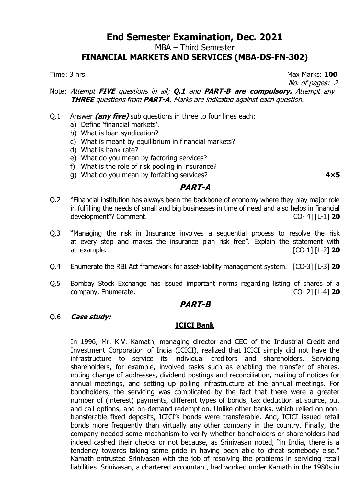MBA – Third Semester

#### **FINANCIAL MARKETS AND SERVICES (MBA-DS-FN-302)**

Time: 3 hrs. Max Marks: **100**

No. of pages: 2

#### Note: Attempt **FIVE** questions in all; **Q.1** and **PART-B are compulsory.** Attempt any **THREE** questions from **PART-A**. Marks are indicated against each question.

- Q.1 Answer **(any five)** sub questions in three to four lines each:
	- a) Define 'financial markets'.
	- b) What is loan syndication?
	- c) What is meant by equilibrium in financial markets?
	- d) What is bank rate?
	- e) What do you mean by factoring services?
	- f) What is the role of risk pooling in insurance?
	- g) What do you mean by forfaiting services? **4×5**

### **PART-A**

- Q.2 "Financial institution has always been the backbone of economy where they play major role in fulfilling the needs of small and big businesses in time of need and also helps in financial development"? Comment. [CO- 4] [L-1] **20**
- Q.3 "Managing the risk in Insurance involves a sequential process to resolve the risk at every step and makes the insurance plan risk free". Explain the statement with an example. [CO-1] [L-2] **20**
- Q.4 Enumerate the RBI Act framework for asset-liability management system. [CO-3] [L-3] **20**
- Q.5 Bombay Stock Exchange has issued important norms regarding listing of shares of a company. Enumerate. [CO- 2] [L-4] **20**

#### **PART-B**

Q.6 **Case study:**

#### **ICICI Bank**

In 1996, Mr. K.V. Kamath, managing director and CEO of the Industrial Credit and Investment Corporation of India (ICICI), realized that ICICI simply did not have the infrastructure to service its individual creditors and shareholders. Servicing shareholders, for example, involved tasks such as enabling the transfer of shares, noting change of addresses, dividend postings and reconciliation, mailing of notices for annual meetings, and setting up polling infrastructure at the annual meetings. For bondholders, the servicing was complicated by the fact that there were a greater number of (interest) payments, different types of bonds, tax deduction at source, put and call options, and on-demand redemption. Unlike other banks, which relied on nontransferable fixed deposits, ICICI's bonds were transferable. And, ICICI issued retail bonds more frequently than virtually any other company in the country. Finally, the company needed some mechanism to verify whether bondholders or shareholders had indeed cashed their checks or not because, as Srinivasan noted, "in India, there is a tendency towards taking some pride in having been able to cheat somebody else." Kamath entrusted Srinivasan with the job of resolving the problems in servicing retail liabilities. Srinivasan, a chartered accountant, had worked under Kamath in the 1980s in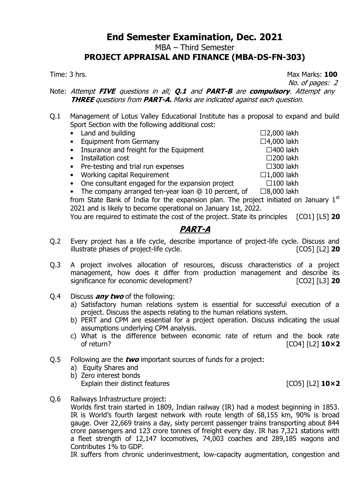MBA – Third Semester

#### **PROJECT APPRAISAL AND FINANCE (MBA-DS-FN-303)**

Time: 3 hrs. **100** 

No. of pages: 2

Note: Attempt **FIVE** questions in all; **Q.1** and **PART-B** are **compulsory**. Attempt any **THREE** questions from **PART-A.** Marks are indicated against each question.

- Q.1 Management of Lotus Valley Educational Institute has a proposal to expand and build Sport Section with the following additional cost:
	- Land and building  $\Box$  2,000 lakh • Equipment from Germany  $\Box 4,000$  lakh • Insurance and freight for the Equipment  $\Box$  400 lakh • Installation cost  $\square$ 200 lakh • Pre-testing and trial run expenses  $\Box$ 300 lakh
	- Working capital Requirement  $\Box$  1,000 lakh
	- One consultant engaged for the expansion project  $\Box$  100 lakh

• The company arranged ten-year loan  $@10$  percent, of  $□8,000$  lakh from State Bank of India for the expansion plan. The project initiated on January  $1<sup>st</sup>$ 2021 and is likely to become operational on January 1st, 2022.

You are required to estimate the cost of the project. State its principles [CO1] [L5] **20**

### **PART-A**

- Q.2 Every project has a life cycle, describe importance of project-life cycle. Discuss and illustrate phases of project-life cycle. [CO5] [L2] **20**
- Q.3 A project involves allocation of resources, discuss characteristics of a project management, how does it differ from production management and describe its significance for economic development? [CO2] [L3] **20**
- Q.4 Discuss **any two** of the following:
	- a) Satisfactory human relations system is essential for successful execution of a project. Discuss the aspects relating to the human relations system.
	- b) PERT and CPM are essential for a project operation. Discuss indicating the usual assumptions underlying CPM analysis.
	- c) What is the difference between economic rate of return and the book rate of return? [CO4] [L2] **10×2**
- Q.5 Following are the **two** important sources of funds for a project:
	- a) Equity Shares and
	- b) Zero interest bonds Explain their distinct features **EXPLAINER 10×2** [CO5] [L2] **10×2**
- Q.6 Railways Infrastructure project:

Worlds first train started in 1809, Indian railway (IR) had a modest beginning in 1853. IR is World's fourth largest network with route length of 68,155 km, 90% is broad gauge. Over 22,669 trains a day, sixty percent passenger trains transporting about 844 crore passengers and 123 crore tonnes of freight every day. IR has 7,321 stations with a fleet strength of 12,147 locomotives, 74,003 coaches and 289,185 wagons and Contributes 1% to GDP.

IR suffers from chronic underinvestment, low-capacity augmentation, congestion and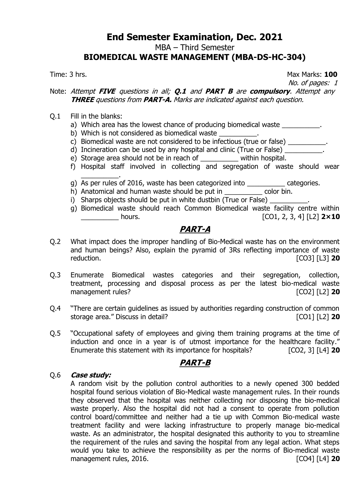MBA – Third Semester

#### **BIOMEDICAL WASTE MANAGEMENT (MBA-DS-HC-304)**

Time: 3 hrs. Max Marks: **100**

No. of pages: 1

#### Note: Attempt **FIVE** questions in all; **Q.1** and **PART B** are **compulsory**. Attempt any **THREE** questions from **PART-A.** Marks are indicated against each question.

- Q.1 Fill in the blanks:
	- a) Which area has the lowest chance of producing biomedical waste
	- b) Which is not considered as biomedical waste
	- c) Biomedical waste are not considered to be infectious (true or false)  $\frac{1}{2}$
	- d) Incineration can be used by any hospital and clinic (True or False)
	- e) Storage area should not be in reach of \_\_\_\_\_\_\_\_\_\_ within hospital.
	- f) Hospital staff involved in collecting and segregation of waste should wear \_\_\_\_\_\_\_\_\_\_.
	- g) As per rules of 2016, waste has been categorized into \_\_\_\_\_\_\_\_\_\_ categories.
	- h) Anatomical and human waste should be put in \_\_\_\_\_\_\_\_\_\_\_ color bin.
	- i) Sharps objects should be put in white dustbin (True or False) \_\_\_\_\_\_\_\_\_\_\_\_\_\_\_
	- g) Biomedical waste should reach Common Biomedical waste facility centre within \_\_\_\_\_\_\_\_\_\_ hours. [CO1, 2, 3, 4] [L2] **2×10**

# **PART-A**

- Q.2 What impact does the improper handling of Bio-Medical waste has on the environment and human beings? Also, explain the pyramid of 3Rs reflecting importance of waste reduction. [CO3] [L3] **20**
- Q.3 Enumerate Biomedical wastes categories and their segregation, collection, treatment, processing and disposal process as per the latest bio-medical waste management rules? **[CO2]** [L2] **20**
- Q.4 "There are certain guidelines as issued by authorities regarding construction of common storage area." Discuss in detail? **Example 20** [CO1] [L2] **20**
- Q.5 "Occupational safety of employees and giving them training programs at the time of induction and once in a year is of utmost importance for the healthcare facility." Enumerate this statement with its importance for hospitals? [CO2, 3] [L4] **20**

### **PART-B**

#### Q.6 **Case study:**

A random visit by the pollution control authorities to a newly opened 300 bedded hospital found serious violation of Bio-Medical waste management rules. In their rounds they observed that the hospital was neither collecting nor disposing the bio-medical waste properly. Also the hospital did not had a consent to operate from pollution control board/committee and neither had a tie up with Common Bio-medical waste treatment facility and were lacking infrastructure to properly manage bio-medical waste. As an administrator, the hospital designated this authority to you to streamline the requirement of the rules and saving the hospital from any legal action. What steps would you take to achieve the responsibility as per the norms of Bio-medical waste management rules, 2016. **In the set of the set of the set of the set of the set of the set of the set of the set of the set of the set of the set of the set of the set of the set of the set of the set of the set of the set**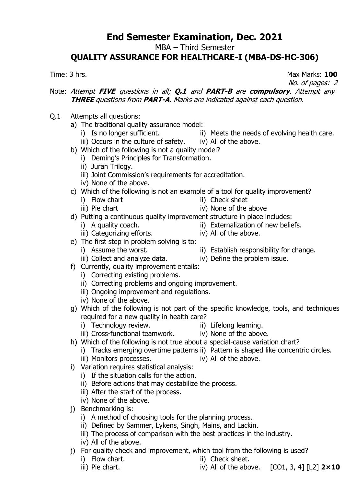MBA – Third Semester

### **QUALITY ASSURANCE FOR HEALTHCARE-I (MBA-DS-HC-306)**

Time: 3 hrs. Max Marks: **100**

No. of pages: 2

#### Note: Attempt **FIVE** questions in all; **Q.1** and **PART-B** are **compulsory**. Attempt any **THREE** questions from **PART-A.** Marks are indicated against each question.

- Q.1 Attempts all questions:
	- a) The traditional quality assurance model:<br>i) Is no longer sufficient.
		-
		- iii) Occurs in the culture of safety. iv) All of the above.
	- b) Which of the following is not a quality model?
		- i) Deming's Principles for Transformation.
			- ii) Juran Trilogy.
			- iii) Joint Commission's requirements for accreditation.
			- iv) None of the above.
	- c) Which of the following is not an example of a tool for quality improvement?
		- i) Flow chart ii) Check sheet
		- iii) Pie chart iv) None of the above
	- d) Putting a continuous quality improvement structure in place includes:<br>i) A quality coach. <br>ii) Externalization of new belies ii) Externalization of new beliefs.
		-
		- iii) Categorizing efforts. iv) All of the above.
	- e) The first step in problem solving is to:
		-
		-
	- f) Currently, quality improvement entails:
		- i) Correcting existing problems.
		- ii) Correcting problems and ongoing improvement.
		- iii) Ongoing improvement and regulations.
		- iv) None of the above.
	- g) Which of the following is not part of the specific knowledge, tools, and techniques required for a new quality in health care?
		- i) Technology review. **ii**) Lifelong learning.
- - iii) Cross-functional teamwork. iv) None of the above.
- -
	- h) Which of the following is not true about a special-cause variation chart?
		- i) Tracks emerging overtime patterns ii) Pattern is shaped like concentric circles.
		- iii) Monitors processes. **iv** iv) All of the above.
	- i) Variation requires statistical analysis:
		- i) If the situation calls for the action.
		- ii) Before actions that may destabilize the process.
		- iii) After the start of the process.
		- iv) None of the above.
	- j) Benchmarking is:
		- i) A method of choosing tools for the planning process.
		- ii) Defined by Sammer, Lykens, Singh, Mains, and Lackin.
		- iii) The process of comparison with the best practices in the industry.
		- iv) All of the above.
	- j) For quality check and improvement, which tool from the following is used?
		- i) Flow chart. **iii**) Check sheet.
		- iii) Pie chart.  $\qquad \qquad$  iv) All of the above.  $\qquad$  [CO1, 3, 4]  $\qquad$  [L2]  $2 \times 10$

i) Assume the worst. **iii** Establish responsibility for change.

ii) Meets the needs of evolving health care.

- 
- 
- iii) Collect and analyze data. iv) Define the problem issue.
- -
	- -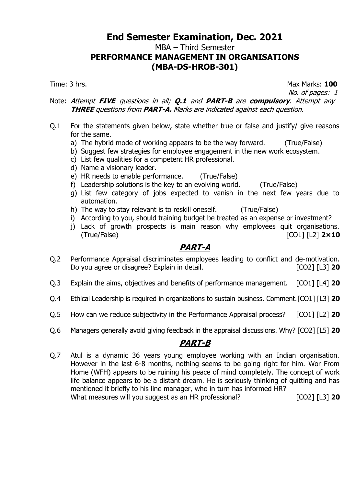MBA – Third Semester

# **PERFORMANCE MANAGEMENT IN ORGANISATIONS (MBA-DS-HROB-301)**

Time: 3 hrs. **Max Marks: 100** 

No. of pages: 1

#### Note: Attempt **FIVE** questions in all; **Q.1** and **PART-B** are **compulsory**. Attempt any **THREE** questions from **PART-A.** Marks are indicated against each question.

- Q.1 For the statements given below, state whether true or false and justify/ give reasons for the same.
	- a) The hybrid mode of working appears to be the way forward. (True/False)
	- b) Suggest few strategies for employee engagement in the new work ecosystem.
	- c) List few qualities for a competent HR professional.
	- d) Name a visionary leader.
	- e) HR needs to enable performance. (True/False)
	- f) Leadership solutions is the key to an evolving world. (True/False)
	- g) List few category of jobs expected to vanish in the next few years due to automation.
	- h) The way to stay relevant is to reskill oneself. (True/False)
	- i) According to you, should training budget be treated as an expense or investment?
	- j) Lack of growth prospects is main reason why employees quit organisations. (True/False) [CO1] [L2] **2×10**

# **PART-A**

- Q.2 Performance Appraisal discriminates employees leading to conflict and de-motivation. Do you agree or disagree? Explain in detail. [CO2] [L3] **20**
- Q.3 Explain the aims, objectives and benefits of performance management. [CO1] [L4] **20**
- Q.4 Ethical Leadership is required in organizations to sustain business. Comment.[CO1] [L3] **20**
- Q.5 How can we reduce subjectivity in the Performance Appraisal process? [CO1] [L2] **20**
- Q.6 Managers generally avoid giving feedback in the appraisal discussions. Why? [CO2] [L5] **20**

# **PART-B**

Q.7 Atul is a dynamic 36 years young employee working with an Indian organisation. However in the last 6-8 months, nothing seems to be going right for him. Wor From Home (WFH) appears to be ruining his peace of mind completely. The concept of work life balance appears to be a distant dream. He is seriously thinking of quitting and has mentioned it briefly to his line manager, who in turn has informed HR? What measures will you suggest as an HR professional? [CO2] [L3] **20**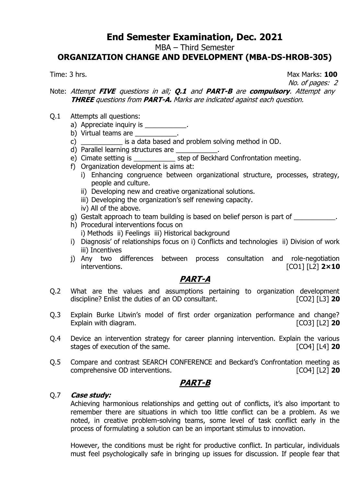MBA – Third Semester

### **ORGANIZATION CHANGE AND DEVELOPMENT (MBA-DS-HROB-305)**

Time: 3 hrs. Max Marks: **100**

No. of pages: 2

#### Note: Attempt **FIVE** questions in all; **Q.1** and **PART-B** are **compulsory**. Attempt any **THREE** questions from **PART-A.** Marks are indicated against each question.

- Q.1 Attempts all questions:
	- a) Appreciate inquiry is \_\_\_\_\_\_\_\_\_\_\_.
	- b) Virtual teams are \_\_\_\_\_\_\_\_\_\_\_.
	- c) \_\_\_\_\_\_\_\_\_\_\_ is a data based and problem solving method in OD.
	- d) Parallel learning structures are
	- e) Cimate setting is \_\_\_\_\_\_\_\_\_\_\_\_\_\_ step of Beckhard Confrontation meeting.
	- f) Organization development is aims at:
		- i) Enhancing congruence between organizational structure, processes, strategy, people and culture.
		- ii) Developing new and creative organizational solutions.
		- iii) Developing the organization's self renewing capacity.
		- iv) All of the above.
	- g) Gestalt approach to team building is based on belief person is part of \_\_\_\_\_\_\_\_\_\_\_\_.
	- h) Procedural interventions focus on i) Methods ii) Feelings iii) Historical background
	- i) Diagnosis' of relationships focus on i) Conflicts and technologies ii) Division of work iii) Incentives
	- j) Any two differences between process consultation and role-negotiation interventions. [CO1] [L2] **2×10**

# **PART-A**

- Q.2 What are the values and assumptions pertaining to organization development discipline? Enlist the duties of an OD consultant. [CO2] [L3] **20**
- Q.3 Explain Burke Litwin's model of first order organization performance and change? Explain with diagram. [CO3] [L2] **20**
- Q.4 Device an intervention strategy for career planning intervention. Explain the various stages of execution of the same. [CO4] [L4] **20**
- Q.5 Compare and contrast SEARCH CONFERENCE and Beckard's Confrontation meeting as comprehensive OD interventions. [CO4] [L2] **20**

### **PART-B**

#### Q.7 **Case study:**

Achieving harmonious relationships and getting out of conflicts, it's also important to remember there are situations in which too little conflict can be a problem. As we noted, in creative problem-solving teams, some level of task conflict early in the process of formulating a solution can be an important stimulus to innovation.

However, the conditions must be right for productive conflict. In particular, individuals must feel psychologically safe in bringing up issues for discussion. If people fear that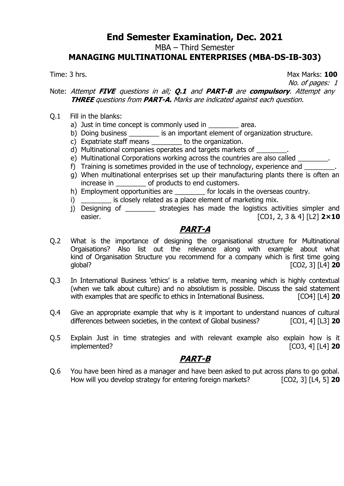MBA – Third Semester

#### **MANAGING MULTINATIONAL ENTERPRISES (MBA-DS-IB-303)**

Time: 3 hrs. **100** 

No. of pages: 1

#### Note: Attempt **FIVE** questions in all; **Q.1** and **PART-B** are **compulsory**. Attempt any **THREE** questions from **PART-A.** Marks are indicated against each question.

- Q.1 Fill in the blanks:
	- a) Just in time concept is commonly used in area.
	- b) Doing business \_\_\_\_\_\_\_\_\_ is an important element of organization structure.
	- c) Expatriate staff means to the organization.
	- d) Multinational companies operates and targets markets of
	- e) Multinational Corporations working across the countries are also called
	- f) Training is sometimes provided in the use of technology, experience and
	- g) When multinational enterprises set up their manufacturing plants there is often an increase in end products to end customers.
	- h) Employment opportunities are \_\_\_\_\_\_\_\_\_ for locals in the overseas country.
	- i) is closely related as a place element of marketing mix.
	- j) Designing of extrategies has made the logistics activities simpler and easier. [CO1, 2, 3 & 4] [L2] **2×10**

# **PART-A**

- Q.2 What is the importance of designing the organisational structure for Multinational Orgaisations? Also list out the relevance along with example about what kind of Organisation Structure you recommend for a company which is first time going global? [CO2, 3] [L4] **20**
- Q.3 In International Business 'ethics' is a relative term, meaning which is highly contextual (when we talk about culture) and no absolutism is possible. Discuss the said statement with examples that are specific to ethics in International Business. [CO4] [L4] **20**
- Q.4 Give an appropriate example that why is it important to understand nuances of cultural differences between societies, in the context of Global business? [CO1, 4] [L3] **20**
- Q.5 Explain Just in time strategies and with relevant example also explain how is it implemented? [CO3, 4] [L4] **20**

# **PART-B**

Q.6 You have been hired as a manager and have been asked to put across plans to go gobal. How will you develop strategy for entering foreign markets? [CO2, 3] [L4, 5] **20**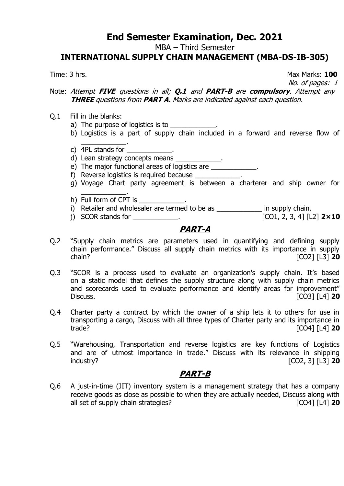MBA – Third Semester

#### **INTERNATIONAL SUPPLY CHAIN MANAGEMENT (MBA-DS-IB-305)**

Time: 3 hrs. **100** 

No. of pages: 1

Note: Attempt **FIVE** questions in all; **Q.1** and **PART-B** are **compulsory**. Attempt any **THREE** questions from **PART A.** Marks are indicated against each question.

- Q.1 Fill in the blanks:
	- a) The purpose of logistics is to
	- b) Logistics is a part of supply chain included in a forward and reverse flow of
	- \_\_\_\_\_\_\_\_\_\_\_\_. c) 4PL stands for  $\blacksquare$ .
	- d) Lean strategy concepts means \_\_\_\_\_\_\_\_\_\_\_.
	- e) The major functional areas of logistics are \_\_\_\_\_\_\_\_\_\_.
	- f) Reverse logistics is required because
	- g) Voyage Chart party agreement is between a charterer and ship owner for
	- \_\_\_\_\_\_\_\_\_\_\_\_. h) Full form of CPT is  $\qquad \qquad$ .
	- i) Retailer and wholesaler are termed to be as \_\_\_\_\_\_\_\_\_\_\_\_\_\_\_ in supply chain.
	- j) SCOR stands for \_\_\_\_\_\_\_\_\_\_\_\_. [CO1, 2, 3, 4] [L2] **2×10**

# **PART-A**

- Q.2 "Supply chain metrics are parameters used in quantifying and defining supply chain performance." Discuss all supply chain metrics with its importance in supply<br>CO21 [131 **20**] chain? [CO2] [L3] **20**
- Q.3 "SCOR is a process used to evaluate an organization's supply chain. It's based on a static model that defines the supply structure along with supply chain metrics and scorecards used to evaluate performance and identify areas for improvement" Discuss. [CO3] [L4] **20**
- Q.4 Charter party a contract by which the owner of a ship lets it to others for use in transporting a cargo, Discuss with all three types of Charter party and its importance in trade? [CO4] [L4] **20**
- Q.5 "Warehousing, Transportation and reverse logistics are key functions of Logistics and are of utmost importance in trade." Discuss with its relevance in shipping industry? [CO2, 3] [L3] **20**

### **PART-B**

Q.6 A just-in-time (JIT) inventory system is a management strategy that has a company receive goods as close as possible to when they are actually needed, Discuss along with all set of supply chain strategies? **all set of supply chain strategies**?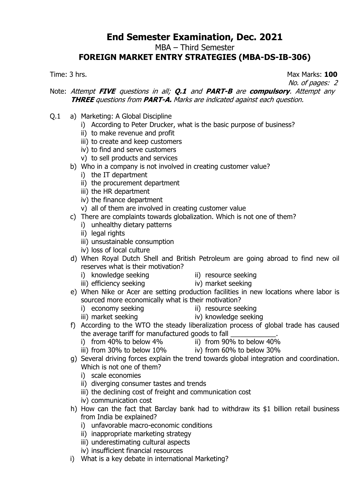MBA – Third Semester

# **FOREIGN MARKET ENTRY STRATEGIES (MBA-DS-IB-306)**

Time: 3 hrs. Max Marks: **100**

No. of pages: 2

#### Note: Attempt **FIVE** questions in all; **Q.1** and **PART-B** are **compulsory**. Attempt any **THREE** questions from **PART-A.** Marks are indicated against each question.

- Q.1 a) Marketing: A Global Discipline
	- i) According to Peter Drucker, what is the basic purpose of business?
	- ii) to make revenue and profit
	- iii) to create and keep customers
	- iv) to find and serve customers
	- v) to sell products and services
	- b) Who in a company is not involved in creating customer value?
		- i) the IT department
		- ii) the procurement department
		- iii) the HR department
		- iv) the finance department
		- v) all of them are involved in creating customer value
	- c) There are complaints towards globalization. Which is not one of them?
		- i) unhealthy dietary patterns
		- ii) legal rights
		- iii) unsustainable consumption
		- iv) loss of local culture
	- d) When Royal Dutch Shell and British Petroleum are going abroad to find new oil reserves what is their motivation?
		- i) knowledge seeking ii) resource seeking<br>iii) efficiency seeking iv) market seeking
			-
		- iii) efficiency seeking
- 
- e) When Nike or Acer are setting production facilities in new locations where labor is sourced more economically what is their motivation?
	-
	- i) economy seeking<br>iii) market seeking iii) resource seeking<br>iv) knowledge seekin
		- iv) knowledge seeking
- f) According to the WTO the steady liberalization process of global trade has caused the average tariff for manufactured goods to fall \_\_\_\_\_\_\_
	- i) from 40% to below 4% ii) from 90% to below 40%
	- iii) from 30% to below 10% iv) from 60% to below 30%
- g) Several driving forces explain the trend towards global integration and coordination. Which is not one of them?
	- i) scale economies
	- ii) diverging consumer tastes and trends
	- iii) the declining cost of freight and communication cost
	- iv) communication cost
- h) How can the fact that Barclay bank had to withdraw its \$1 billion retail business from India be explained?
	- i) unfavorable macro-economic conditions
	- ii) inappropriate marketing strategy
	- iii) underestimating cultural aspects
	- iv) insufficient financial resources
- i) What is a key debate in international Marketing?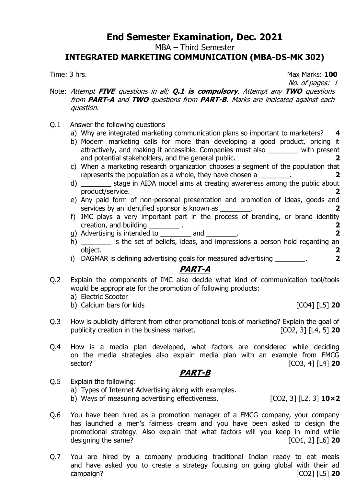MBA – Third Semester

#### **INTEGRATED MARKETING COMMUNICATION (MBA-DS-MK 302)**

Time: 3 hrs. **100** 

No. of pages: 1

- Note: Attempt **FIVE** questions in all; **Q.1 is compulsory**. Attempt any **TWO** questions from **PART-A** and **TWO** questions from **PART-B.** Marks are indicated against each question.
- Q.1 Answer the following questions
	- a) Why are integrated marketing communication plans so important to marketers? **4**
	- b) Modern marketing calls for more than developing a good product, pricing it attractively, and making it accessible. Companies must also \_\_\_\_\_\_\_\_ with present and potential stakeholders, and the general public. **2**
	- c) When a marketing research organization chooses a segment of the population that represents the population as a whole, they have chosen a \_\_\_\_\_\_\_\_. **2**
	- d) \_\_\_\_\_\_\_\_ stage in AIDA model aims at creating awareness among the public about product/service. **2**
	- e) Any paid form of non-personal presentation and promotion of ideas, goods and services by an identified sponsor is known as  $\qquad \qquad$  .
	- f) IMC plays a very important part in the process of branding, or brand identity creation, and building \_\_\_\_\_\_\_\_ . **2**
	- g) Advertising is intended to \_\_\_\_\_\_\_\_ and \_\_\_\_\_\_\_\_. **2**
	- h) \_\_\_\_\_\_\_\_ is the set of beliefs, ideas, and impressions a person hold regarding an object. **2**
	- i) DAGMAR is defining advertising goals for measured advertising  $\overline{\phantom{a}}$

### **PART-A**

- Q.2 Explain the components of IMC also decide what kind of communication tool/tools would be appropriate for the promotion of following products:
	- a) Electric Scooter
	- b) Calcium bars for kids [CO4] [L5] **20**

- Q.3 How is publicity different from other promotional tools of marketing? Explain the goal of publicity creation in the business market. [CO2, 3] [L4, 5] **20**
- Q.4 How is a media plan developed, what factors are considered while deciding on the media strategies also explain media plan with an example from FMCG sector? [CO3, 4] [L4] **20**

#### **PART-B**

- Q.5 Explain the following:
	- a) Types of Internet Advertising along with examples.
	- b) Ways of measuring advertising effectiveness. [CO2, 3] [L2, 3] **10×2**
- Q.6 You have been hired as a promotion manager of a FMCG company, your company has launched a men's fairness cream and you have been asked to design the promotional strategy. Also explain that what factors will you keep in mind while designing the same? **[CO1, 2]** [L6] **20**
- Q.7 You are hired by a company producing traditional Indian ready to eat meals and have asked you to create a strategy focusing on going global with their ad campaign? [CO2] [L5] **20**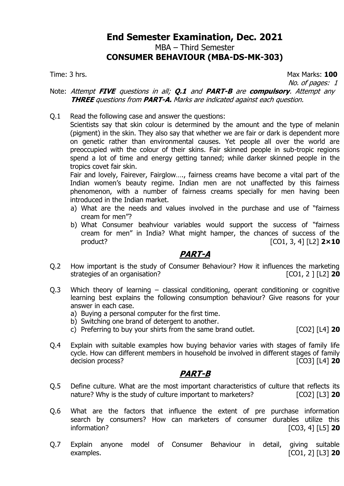MBA – Third Semester

#### **CONSUMER BEHAVIOUR (MBA-DS-MK-303)**

Time: 3 hrs. Max Marks: **100** No. of pages: 1

#### Note: Attempt **FIVE** questions in all; **Q.1** and **PART-B** are **compulsory**. Attempt any **THREE** questions from **PART-A.** Marks are indicated against each question.

Q.1 Read the following case and answer the questions:

Scientists say that skin colour is determined by the amount and the type of melanin (pigment) in the skin. They also say that whether we are fair or dark is dependent more on genetic rather than environmental causes. Yet people all over the world are preoccupied with the colour of their skins. Fair skinned people in sub-tropic regions spend a lot of time and energy getting tanned; while darker skinned people in the tropics covet fair skin.

Fair and lovely, Fairever, Fairglow…., fairness creams have become a vital part of the Indian women's beauty regime. Indian men are not unaffected by this fairness phenomenon, with a number of fairness creams specially for men having been introduced in the Indian market.

- a) What are the needs and values involved in the purchase and use of "fairness cream for men"?
- b) What Consumer beahviour variables would support the success of "fairness cream for men" in India? What might hamper, the chances of success of the product? [CO1, 3, 4] [L2] **2×10**

### **PART-A**

- Q.2 How important is the study of Consumer Behaviour? How it influences the marketing strategies of an organisation? **Example 20 CO1, 2** ] [L2] **20**
- Q.3 Which theory of learning classical conditioning, operant conditioning or cognitive learning best explains the following consumption behaviour? Give reasons for your answer in each case.
	- a) Buying a personal computer for the first time.
	- b) Switching one brand of detergent to another.
	- c) Preferring to buy your shirts from the same brand outlet. [CO2] [L4] **20**
- Q.4 Explain with suitable examples how buying behavior varies with stages of family life cycle. How can different members in household be involved in different stages of family decision process? [CO3] [L4] **20**

### **PART-B**

- Q.5 Define culture. What are the most important characteristics of culture that reflects its nature? Why is the study of culture important to marketers? [CO2] [L3] **20**
- Q.6 What are the factors that influence the extent of pre purchase information search by consumers? How can marketers of consumer durables utilize this information? [CO3, 4] [L5] **20**
- Q.7 Explain anyone model of Consumer Behaviour in detail, giving suitable examples. [CO1, 2] [L3] **20**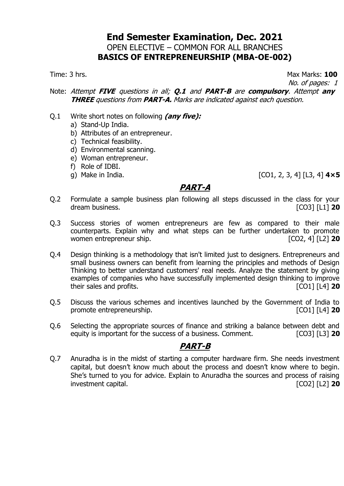### **End Semester Examination, Dec. 2021** OPEN ELECTIVE – COMMON FOR ALL BRANCHES **BASICS OF ENTREPRENEURSHIP (MBA-OE-002)**

Time: 3 hrs. **100** 

No. of pages: 1

#### Note: Attempt **FIVE** questions in all; **Q.1** and **PART-B** are **compulsory**. Attempt **any THREE** questions from **PART-A.** Marks are indicated against each question.

- Q.1 Write short notes on following **(any five):**
	- a) Stand-Up India.
	- b) Attributes of an entrepreneur.
	- c) Technical feasibility.
	- d) Environmental scanning.
	- e) Woman entrepreneur.
	- f) Role of IDBI.
	-

#### g) Make in India. [CO1, 2, 3, 4] [L3, 4] **4×5**

### **PART-A**

- Q.2 Formulate a sample business plan following all steps discussed in the class for your dream business. [CO3] [L1] **20**
- Q.3 Success stories of women entrepreneurs are few as compared to their male counterparts. Explain why and what steps can be further undertaken to promote women entrepreneur ship. **Example 20 CO2, 4** [L2] **20**
- Q.4 Design thinking is a methodology that isn't limited just to designers. Entrepreneurs and small business owners can benefit from learning the principles and methods of Design Thinking to better understand customers' real needs. Analyze the statement by giving examples of companies who have successfully implemented design thinking to improve their sales and profits. [CO1] [L4] **20**
- Q.5 Discuss the various schemes and incentives launched by the Government of India to promote entrepreneurship. [CO1] [L4] **20**
- Q.6 Selecting the appropriate sources of finance and striking a balance between debt and equity is important for the success of a business. Comment. [CO3] [L3] **20**

# **PART-B**

Q.7 Anuradha is in the midst of starting a computer hardware firm. She needs investment capital, but doesn't know much about the process and doesn't know where to begin. She's turned to you for advice. Explain to Anuradha the sources and process of raising investment capital. [CO2] [L2] **20**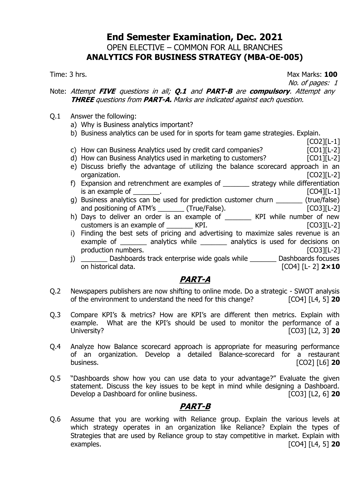### **End Semester Examination, Dec. 2021** OPEN ELECTIVE – COMMON FOR ALL BRANCHES **ANALYTICS FOR BUSINESS STRATEGY (MBA-OE-005)**

Time: 3 hrs. **100** 

No. of pages: 1

[CO2][L-1]

#### Note: Attempt **FIVE** questions in all; **Q.1** and **PART-B** are **compulsory**. Attempt any **THREE** questions from **PART-A.** Marks are indicated against each question.

- $Q.1$  Answer the following:
	- a) Why is Business analytics important?
	- b) Business analytics can be used for in sports for team game strategies. Explain.
	- c) How can Business Analytics used by credit card companies? [CO1][L-2]
	- d) How can Business Analytics used in marketing to customers? [CO1][L-2]
	- e) Discuss briefly the advantage of utilizing the balance scorecard approach in an organization. [CO2][L-2]
	- f) Expansion and retrenchment are examples of \_\_\_\_\_\_\_ strategy while differentiation  $\blacksquare$  is an example of  $\blacksquare$
	- g) Business analytics can be used for prediction customer churn \_\_\_\_\_\_\_ (true/false) and positioning of ATM's \_\_\_\_\_\_\_ (True/False). [CO3][L-2]
	- h) Days to deliver an order is an example of \_\_\_\_\_\_\_\_ KPI while number of new customers is an example of TRICO3][L-2]
	- i) Finding the best sets of pricing and advertising to maximize sales revenue is an example of \_\_\_\_\_\_\_ analytics while \_\_\_\_\_\_\_ analytics is used for decisions on production numbers. The contraction of the contraction of the contraction of the contraction of the contraction of the contraction of the contraction of the contraction of the contraction of the contraction of the contract
	- j) \_\_\_\_\_\_\_ Dashboards track enterprise wide goals while \_\_\_\_\_\_\_ Dashboards focuses on historical data. [CO4] [L- 2] **2×10**

# **PART-A**

- Q.2 Newspapers publishers are now shifting to online mode. Do a strategic SWOT analysis of the environment to understand the need for this change? [CO4] [L4, 5] **20**
- Q.3 Compare KPI's & metrics? How are KPI's are different then metrics. Explain with example. What are the KPI's should be used to monitor the performance of a University? [CO3] [L2, 3] **20**
- Q.4 Analyze how Balance scorecard approach is appropriate for measuring performance of an organization. Develop a detailed Balance-scorecard for a restaurant business. [CO2] [L6] **20**
- Q.5 "Dashboards show how you can use data to your advantage?" Evaluate the given statement. Discuss the key issues to be kept in mind while designing a Dashboard. Develop a Dashboard for online business. [CO3] [L2, 6] **20**

### **PART-B**

Q.6 Assume that you are working with Reliance group. Explain the various levels at which strategy operates in an organization like Reliance? Explain the types of Strategies that are used by Reliance group to stay competitive in market. Explain with examples. [CO4] [L4, 5] **20**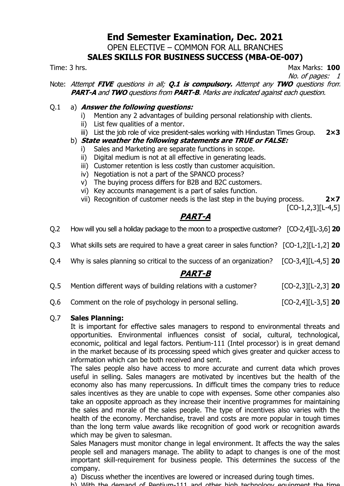#### **End Semester Examination, Dec. 2021** OPEN ELECTIVE – COMMON FOR ALL BRANCHES

### **SALES SKILLS FOR BUSINESS SUCCESS (MBA-OE-007)**

Time: 3 hrs. Max Marks: **100** No. of pages: 1

Note: Attempt **FIVE** questions in all; **Q.1 is compulsory.** Attempt any **TWO** questions from **PART-A** and **TWO** questions from **PART-B**. Marks are indicated against each question.

#### Q.1 a) **Answer the following questions:**

- i) Mention any 2 advantages of building personal relationship with clients.
- ii) List few qualities of a mentor.
- iii) List the job role of vice president-sales working with Hindustan Times Group. **2×3**

#### b) **State weather the following statements are TRUE or FALSE:**

- Sales and Marketing are separate functions in scope.
- ii) Digital medium is not at all effective in generating leads.
- iii) Customer retention is less costly than customer acquisition.
- iv) Negotiation is not a part of the SPANCO process?
- v) The buying process differs for B2B and B2C customers.
- vi) Key accounts management is a part of sales function.
- vii) Recognition of customer needs is the last step in the buying process. **2×7**

 $[CO-1, 2, 3][L-4, 5]$ 

# **PART-A**

- Q.2 How will you sell a holiday package to the moon to a prospective customer? [CO-2,4][L-3,6] **20**
- Q.3 What skills sets are required to have a great career in sales function? [CO-1,2][L-1,2] **20**
- Q.4 Why is sales planning so critical to the success of an organization? [CO-3,4][L-4,5] **20**

### **PART-B**

- Q.5 Mention different ways of building relations with a customer? [CO-2,3][L-2,3] **20**
- Q.6 Comment on the role of psychology in personal selling. [CO-2,4][L-3,5] **20**

#### Q.7 **Sales Planning:**

It is important for effective sales managers to respond to environmental threats and opportunities. Environmental influences consist of social, cultural, technological, economic, political and legal factors. Pentium-111 (Intel processor) is in great demand in the market because of its processing speed which gives greater and quicker access to information which can be both received and sent.

The sales people also have access to more accurate and current data which proves useful in selling. Sales managers are motivated by incentives but the health of the economy also has many repercussions. In difficult times the company tries to reduce sales incentives as they are unable to cope with expenses. Some other companies also take an opposite approach as they increase their incentive programmes for maintaining the sales and morale of the sales people. The type of incentives also varies with the health of the economy. Merchandise, travel and costs are more popular in tough times than the long term value awards like recognition of good work or recognition awards which may be given to salesman.

Sales Managers must monitor change in legal environment. It affects the way the sales people sell and managers manage. The ability to adapt to changes is one of the most important skill-requirement for business people. This determines the success of the company.

- a) Discuss whether the incentives are lowered or increased during tough times.
- b) With the demand of Pentium-111 and other high technology equipment the time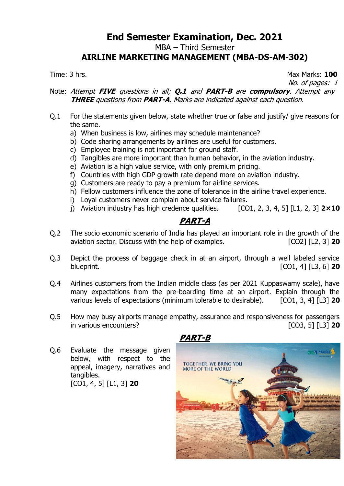MBA – Third Semester

### **AIRLINE MARKETING MANAGEMENT (MBA-DS-AM-302)**

Time: 3 hrs. **100** 

No. of pages: 1

#### Note: Attempt **FIVE** questions in all; **Q.1** and **PART-B** are **compulsory**. Attempt any **THREE** questions from **PART-A.** Marks are indicated against each question.

- Q.1 For the statements given below, state whether true or false and justify/ give reasons for the same.
	- a) When business is low, airlines may schedule maintenance?
	- b) Code sharing arrangements by airlines are useful for customers.
	- c) Employee training is not important for ground staff.
	- d) Tangibles are more important than human behavior, in the aviation industry.
	- e) Aviation is a high value service, with only premium pricing.
	- f) Countries with high GDP growth rate depend more on aviation industry.
	- g) Customers are ready to pay a premium for airline services.
	- h) Fellow customers influence the zone of tolerance in the airline travel experience.
	- i) Loyal customers never complain about service failures.
	- j) Aviation industry has high credence qualities. [CO1, 2, 3, 4, 5] [L1, 2, 3] **2×10**

# **PART-A**

- Q.2 The socio economic scenario of India has played an important role in the growth of the aviation sector. Discuss with the help of examples. [CO2] [L2, 3] **20**
- Q.3 Depict the process of baggage check in at an airport, through a well labeled service blueprint. [CO1, 4] [L3, 6] **20**
- Q.4 Airlines customers from the Indian middle class (as per 2021 Kuppaswamy scale), have many expectations from the pre-boarding time at an airport. Explain through the various levels of expectations (minimum tolerable to desirable). [CO1, 3, 4] [L3] **20**
- Q.5 How may busy airports manage empathy, assurance and responsiveness for passengers in various encounters? [CO3, 5] [L3] **20**

Q.6 Evaluate the message given below, with respect to the appeal, imagery, narratives and tangibles. [CO1, 4, 5] [L1, 3] **20**



**PART-B**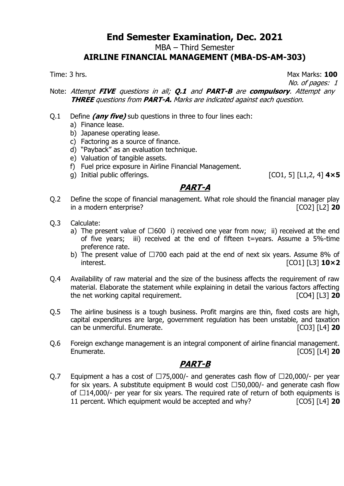MBA – Third Semester

#### **AIRLINE FINANCIAL MANAGEMENT (MBA-DS-AM-303)**

Time: 3 hrs. **100** 

No. of pages: 1

Note: Attempt **FIVE** questions in all; **Q.1** and **PART-B** are **compulsory**. Attempt any **THREE** questions from **PART-A.** Marks are indicated against each question.

- Q.1 Define **(any five)** sub questions in three to four lines each:
	- a) Finance lease.
	- b) Japanese operating lease.
	- c) Factoring as a source of finance.
	- d) "Payback" as an evaluation technique.
	- e) Valuation of tangible assets.
	- f) Fuel price exposure in Airline Financial Management.
	- g) Initial public offerings. [CO1, 5] [L1,2, 4] **4×5**

### **PART-A**

- Q.2 Define the scope of financial management. What role should the financial manager play in a modern enterprise? [CO2] [L2] **20**
- Q.3 Calculate:
	- a) The present value of  $\Box 600$  i) received one year from now; ii) received at the end of five years; iii) received at the end of fifteen t=years. Assume a 5%-time preference rate.
	- b) The present value of  $\Box$ 700 each paid at the end of next six years. Assume 8% of interest. [CO1] [L3] **10×2**
- Q.4 Availability of raw material and the size of the business affects the requirement of raw material. Elaborate the statement while explaining in detail the various factors affecting the net working capital requirement. [CO4] [L3] **20**
- Q.5 The airline business is a tough business. Profit margins are thin, fixed costs are high, capital expenditures are large, government regulation has been unstable, and taxation can be unmerciful. Enumerate. [CO3] [L4] **20**
- Q.6 Foreign exchange management is an integral component of airline financial management. Enumerate. [CO5] [L4] **20**

# **PART-B**

Q.7 Equipment a has a cost of  $\Box$ 75,000/- and generates cash flow of  $\Box$ 20,000/- per year for six years. A substitute equipment B would cost  $\Box$ 50,000/- and generate cash flow of  $\Box$ 14,000/- per year for six years. The required rate of return of both equipments is 11 percent. Which equipment would be accepted and why? [CO5] [L4] **20**